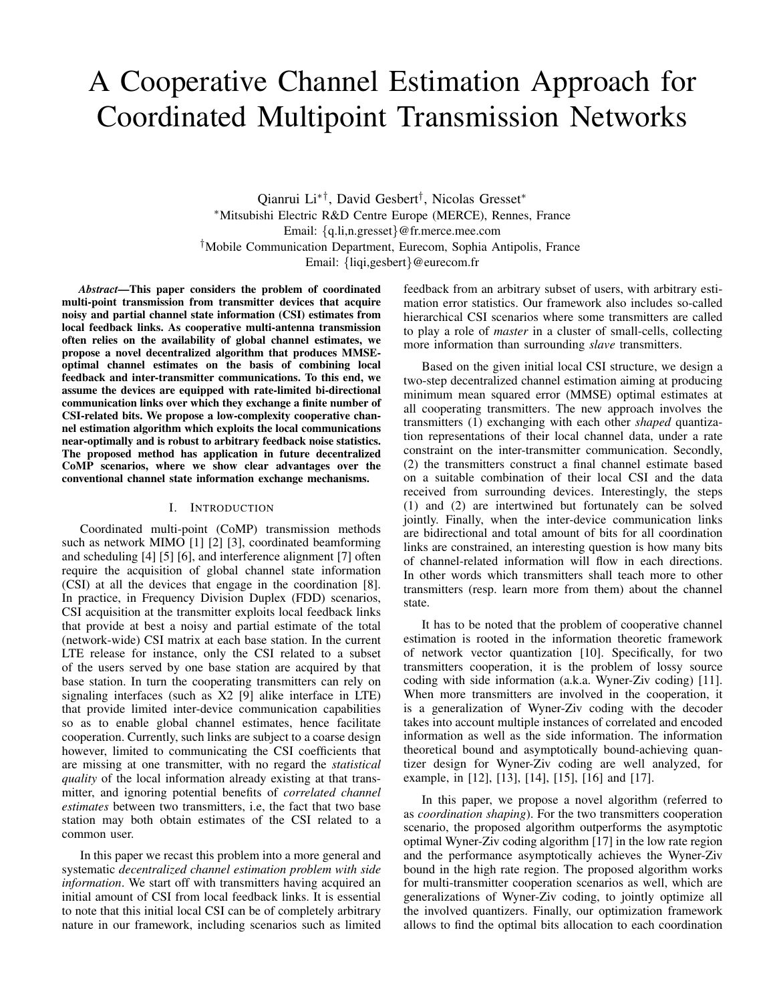# A Cooperative Channel Estimation Approach for Coordinated Multipoint Transmission Networks

Qianrui Li∗†, David Gesbert† , Nicolas Gresset<sup>∗</sup> <sup>∗</sup>Mitsubishi Electric R&D Centre Europe (MERCE), Rennes, France Email: {q.li,n.gresset}@fr.merce.mee.com †Mobile Communication Department, Eurecom, Sophia Antipolis, France Email: {liqi,gesbert}@eurecom.fr

*Abstract*—This paper considers the problem of coordinated multi-point transmission from transmitter devices that acquire noisy and partial channel state information (CSI) estimates from local feedback links. As cooperative multi-antenna transmission often relies on the availability of global channel estimates, we propose a novel decentralized algorithm that produces MMSEoptimal channel estimates on the basis of combining local feedback and inter-transmitter communications. To this end, we assume the devices are equipped with rate-limited bi-directional communication links over which they exchange a finite number of CSI-related bits. We propose a low-complexity cooperative channel estimation algorithm which exploits the local communications near-optimally and is robust to arbitrary feedback noise statistics. The proposed method has application in future decentralized CoMP scenarios, where we show clear advantages over the conventional channel state information exchange mechanisms.

## I. INTRODUCTION

Coordinated multi-point (CoMP) transmission methods such as network MIMO [1] [2] [3], coordinated beamforming and scheduling [4] [5] [6], and interference alignment [7] often require the acquisition of global channel state information (CSI) at all the devices that engage in the coordination [8]. In practice, in Frequency Division Duplex (FDD) scenarios, CSI acquisition at the transmitter exploits local feedback links that provide at best a noisy and partial estimate of the total (network-wide) CSI matrix at each base station. In the current LTE release for instance, only the CSI related to a subset of the users served by one base station are acquired by that base station. In turn the cooperating transmitters can rely on signaling interfaces (such as X2 [9] alike interface in LTE) that provide limited inter-device communication capabilities so as to enable global channel estimates, hence facilitate cooperation. Currently, such links are subject to a coarse design however, limited to communicating the CSI coefficients that are missing at one transmitter, with no regard the *statistical quality* of the local information already existing at that transmitter, and ignoring potential benefits of *correlated channel estimates* between two transmitters, i.e, the fact that two base station may both obtain estimates of the CSI related to a common user.

In this paper we recast this problem into a more general and systematic *decentralized channel estimation problem with side information*. We start off with transmitters having acquired an initial amount of CSI from local feedback links. It is essential to note that this initial local CSI can be of completely arbitrary nature in our framework, including scenarios such as limited feedback from an arbitrary subset of users, with arbitrary estimation error statistics. Our framework also includes so-called hierarchical CSI scenarios where some transmitters are called to play a role of *master* in a cluster of small-cells, collecting more information than surrounding *slave* transmitters.

Based on the given initial local CSI structure, we design a two-step decentralized channel estimation aiming at producing minimum mean squared error (MMSE) optimal estimates at all cooperating transmitters. The new approach involves the transmitters (1) exchanging with each other *shaped* quantization representations of their local channel data, under a rate constraint on the inter-transmitter communication. Secondly, (2) the transmitters construct a final channel estimate based on a suitable combination of their local CSI and the data received from surrounding devices. Interestingly, the steps (1) and (2) are intertwined but fortunately can be solved jointly. Finally, when the inter-device communication links are bidirectional and total amount of bits for all coordination links are constrained, an interesting question is how many bits of channel-related information will flow in each directions. In other words which transmitters shall teach more to other transmitters (resp. learn more from them) about the channel state.

It has to be noted that the problem of cooperative channel estimation is rooted in the information theoretic framework of network vector quantization [10]. Specifically, for two transmitters cooperation, it is the problem of lossy source coding with side information (a.k.a. Wyner-Ziv coding) [11]. When more transmitters are involved in the cooperation, it is a generalization of Wyner-Ziv coding with the decoder takes into account multiple instances of correlated and encoded information as well as the side information. The information theoretical bound and asymptotically bound-achieving quantizer design for Wyner-Ziv coding are well analyzed, for example, in [12], [13], [14], [15], [16] and [17].

In this paper, we propose a novel algorithm (referred to as *coordination shaping*). For the two transmitters cooperation scenario, the proposed algorithm outperforms the asymptotic optimal Wyner-Ziv coding algorithm [17] in the low rate region and the performance asymptotically achieves the Wyner-Ziv bound in the high rate region. The proposed algorithm works for multi-transmitter cooperation scenarios as well, which are generalizations of Wyner-Ziv coding, to jointly optimize all the involved quantizers. Finally, our optimization framework allows to find the optimal bits allocation to each coordination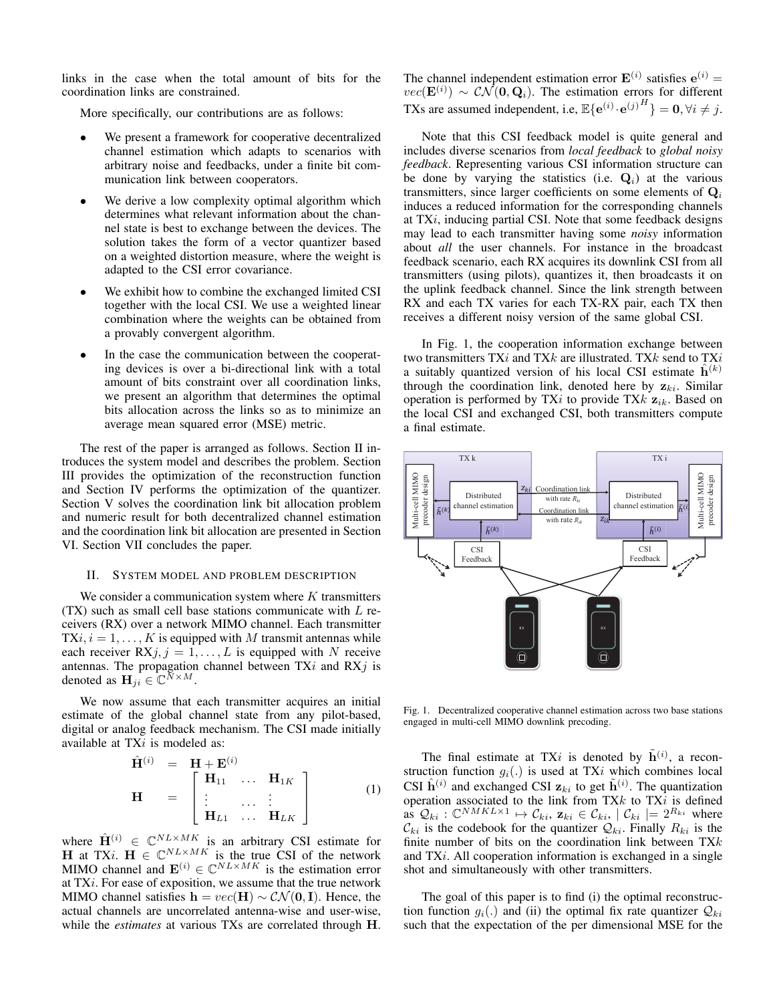links in the case when the total amount of bits for the coordination links are constrained.

More specifically, our contributions are as follows:

- We present a framework for cooperative decentralized channel estimation which adapts to scenarios with arbitrary noise and feedbacks, under a finite bit communication link between cooperators.
- We derive a low complexity optimal algorithm which determines what relevant information about the channel state is best to exchange between the devices. The solution takes the form of a vector quantizer based on a weighted distortion measure, where the weight is adapted to the CSI error covariance.
- We exhibit how to combine the exchanged limited CSI together with the local CSI. We use a weighted linear combination where the weights can be obtained from a provably convergent algorithm.
- In the case the communication between the cooperating devices is over a bi-directional link with a total amount of bits constraint over all coordination links, we present an algorithm that determines the optimal bits allocation across the links so as to minimize an average mean squared error (MSE) metric.

The rest of the paper is arranged as follows. Section II introduces the system model and describes the problem. Section III provides the optimization of the reconstruction function and Section IV performs the optimization of the quantizer. Section V solves the coordination link bit allocation problem and numeric result for both decentralized channel estimation and the coordination link bit allocation are presented in Section VI. Section VII concludes the paper.

## II. SYSTEM MODEL AND PROBLEM DESCRIPTION

We consider a communication system where  $K$  transmitters  $(TX)$  such as small cell base stations communicate with  $L$  receivers (RX) over a network MIMO channel. Each transmitter  $TXi, i = 1, \ldots, K$  is equipped with M transmit antennas while each receiver  $RXj, j = 1, ..., L$  is equipped with N receive antennas. The propagation channel between  $TXi$  and  $RXj$  is denoted as  $\mathbf{H}_{ji} \in \mathbb{C}^{N \times M}$ .

We now assume that each transmitter acquires an initial estimate of the global channel state from any pilot-based, digital or analog feedback mechanism. The CSI made initially available at TXi is modeled as:

$$
\hat{\mathbf{H}}^{(i)} = \mathbf{H} + \mathbf{E}^{(i)}
$$
\n
$$
\mathbf{H} = \begin{bmatrix}\n\mathbf{H}_{11} & \cdots & \mathbf{H}_{1K} \\
\vdots & \cdots & \vdots \\
\mathbf{H}_{L1} & \cdots & \mathbf{H}_{LK}\n\end{bmatrix}
$$
\n(1)

where  $\hat{H}^{(i)} \in \mathbb{C}^{NL \times MK}$  is an arbitrary CSI estimate for **H** at TXi.  $H \in \mathbb{C}^{NL \times MK}$  is the true CSI of the network MIMO channel and  $\mathbf{E}^{(i)} \in \mathbb{C}^{NL \times MK}$  is the estimation error at  $TXi$ . For ease of exposition, we assume that the true network MIMO channel satisfies  $h = vec(H) \sim \mathcal{CN}(0, I)$ . Hence, the actual channels are uncorrelated antenna-wise and user-wise, while the *estimates* at various TXs are correlated through H. The channel independent estimation error  $\mathbf{E}^{(i)}$  satisfies  $\mathbf{e}^{(i)}$  =  $vec(\mathbf{E}^{(i)}) \sim \mathcal{CN}(\mathbf{0},\mathbf{Q}_i)$ . The estimation errors for different TXs are assumed independent, i.e,  $\mathbb{E}\{\mathbf{e}^{(i)}\cdot\mathbf{e}^{(j)H}\} = \mathbf{0}, \forall i \neq j$ .

Note that this CSI feedback model is quite general and includes diverse scenarios from *local feedback* to *global noisy feedback*. Representing various CSI information structure can be done by varying the statistics (i.e.  $\mathbf{Q}_i$ ) at the various transmitters, since larger coefficients on some elements of  $Q_i$ induces a reduced information for the corresponding channels at TXi, inducing partial CSI. Note that some feedback designs may lead to each transmitter having some *noisy* information about *all* the user channels. For instance in the broadcast feedback scenario, each RX acquires its downlink CSI from all transmitters (using pilots), quantizes it, then broadcasts it on the uplink feedback channel. Since the link strength between RX and each TX varies for each TX-RX pair, each TX then receives a different noisy version of the same global CSI.

In Fig. 1, the cooperation information exchange between two transmitters  $TXi$  and  $TXk$  are illustrated. TXk send to TXi a suitably quantized version of his local CSI estimate  $h^{(k)}$ through the coordination link, denoted here by  $z_{ki}$ . Similar operation is performed by TXi to provide TX $k$   $\mathbf{z}_{ik}$ . Based on the local CSI and exchanged CSI, both transmitters compute a final estimate.



Fig. 1. Decentralized cooperative channel estimation across two base stations engaged in multi-cell MIMO downlink precoding.

The final estimate at TXi is denoted by  $\tilde{h}^{(i)}$ , a reconstruction function  $q_i(.)$  is used at TXi which combines local CSI  $\hat{\mathbf{h}}^{(i)}$  and exchanged CSI  $z_{ki}$  to get  $\tilde{\mathbf{h}}^{(i)}$ . The quantization operation associated to the link from TX $k$  to TX $i$  is defined as  $Q_{ki}: \mathbb{C}^{NMKL \times 1} \mapsto C_{ki}, \mathbf{z}_{ki} \in C_{ki}, |C_{ki}| = 2^{R_{ki}}$  where  $\mathcal{C}_{ki}$  is the codebook for the quantizer  $\mathcal{Q}_{ki}$ . Finally  $R_{ki}$  is the finite number of bits on the coordination link between  $TXk$ and TXi. All cooperation information is exchanged in a single shot and simultaneously with other transmitters.

The goal of this paper is to find (i) the optimal reconstruction function  $q_i(.)$  and (ii) the optimal fix rate quantizer  $\mathcal{Q}_{ki}$ such that the expectation of the per dimensional MSE for the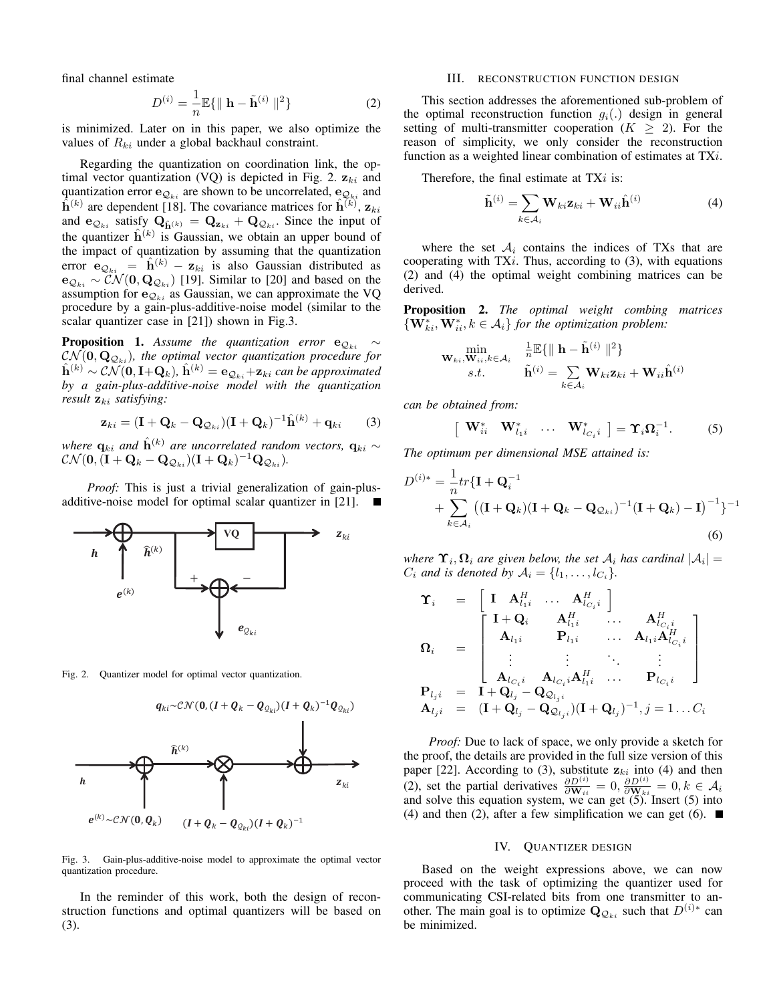final channel estimate

$$
D^{(i)} = \frac{1}{n} \mathbb{E}\{\parallel \mathbf{h} - \tilde{\mathbf{h}}^{(i)} \parallel^2\}
$$
 (2)

is minimized. Later on in this paper, we also optimize the values of  $R_{ki}$  under a global backhaul constraint.

Regarding the quantization on coordination link, the optimal vector quantization (VQ) is depicted in Fig. 2.  $z_{ki}$  and quantization error  $e_{\mathcal{Q}_{ki}}$  are shown to be uncorrelated,  $e_{\mathcal{Q}_{ki}}$  and  $\hat{h}^{(k)}$  are dependent [18]. The covariance matrices for  $\hat{h}^{(k)}$ ,  $z_{ki}$ and  $e_{\mathcal{Q}_{ki}}$  satisfy  $\mathbf{Q}_{\hat{\mathbf{h}}^{(k)}} = \mathbf{Q}_{\mathbf{z}_{ki}} + \mathbf{Q}_{\mathcal{Q}_{ki}}$ . Since the input of the quantizer  $\hat{\mathbf{h}}^{(k)}$  is Gaussian, we obtain an upper bound of the impact of quantization by assuming that the quantization error  $\mathbf{e}_{\mathcal{Q}_{ki}} = \hat{\mathbf{h}}^{(k)} - \mathbf{z}_{ki}$  is also Gaussian distributed as  $e_{\mathcal{Q}_{ki}} \sim \mathcal{CN}(\mathbf{0}, \mathbf{Q}_{\mathcal{Q}_{ki}})$  [19]. Similar to [20] and based on the assumption for  $e_{Q_{ki}}$  as Gaussian, we can approximate the VQ procedure by a gain-plus-additive-noise model (similar to the scalar quantizer case in [21]) shown in Fig.3.

**Proposition 1.** *Assume the quantization error*  $e_{Q_{ki}} \sim$  $\mathcal{CN}(\mathbf{0},\mathbf{Q}_{\mathcal{Q}_{ki}})$ , the optimal vector quantization procedure for  $\hat{\mathbf{h}}^{(k)} \sim \mathcal{CN}(\mathbf{0}, \mathbf{I}+\mathbf{Q}_k)$ ,  $\hat{\mathbf{h}}^{(k)} = \mathbf{e}_{\mathcal{Q}_{ki}} + \mathbf{z}_{ki}$  can be approximated *by a gain-plus-additive-noise model with the quantization result*  $z_{ki}$  *satisfying:* 

$$
\mathbf{z}_{ki} = (\mathbf{I} + \mathbf{Q}_k - \mathbf{Q}_{\mathcal{Q}_{ki}})(\mathbf{I} + \mathbf{Q}_k)^{-1}\hat{\mathbf{h}}^{(k)} + \mathbf{q}_{ki} \qquad (3)
$$

*where*  $\mathbf{q}_{ki}$  *and*  $\hat{\mathbf{h}}^{(k)}$  *are uncorrelated random vectors,*  $\mathbf{q}_{ki}$  ∼  $\mathcal{CN}(\mathbf{0},\bar{(\mathbf{I}}+\mathbf{Q}_k-\mathbf{Q}_{\mathcal{Q}_{ki}})(\mathbf{I}+\mathbf{Q}_k)^{-1}\mathbf{Q}_{\mathcal{Q}_{ki}}).$ 

*Proof:* This is just a trivial generalization of gain-plusadditive-noise model for optimal scalar quantizer in [21].



Fig. 2. Quantizer model for optimal vector quantization.



Fig. 3. Gain-plus-additive-noise model to approximate the optimal vector quantization procedure.

In the reminder of this work, both the design of reconstruction functions and optimal quantizers will be based on (3).

### III. RECONSTRUCTION FUNCTION DESIGN

This section addresses the aforementioned sub-problem of the optimal reconstruction function  $g_i(.)$  design in general setting of multi-transmitter cooperation  $(K \geq 2)$ . For the reason of simplicity, we only consider the reconstruction function as a weighted linear combination of estimates at TXi.

Therefore, the final estimate at  $TXi$  is:

$$
\tilde{\mathbf{h}}^{(i)} = \sum_{k \in \mathcal{A}_i} \mathbf{W}_{ki} \mathbf{z}_{ki} + \mathbf{W}_{ii} \hat{\mathbf{h}}^{(i)} \tag{4}
$$

where the set  $A_i$  contains the indices of TXs that are cooperating with  $TX_i$ . Thus, according to  $(3)$ , with equations (2) and (4) the optimal weight combining matrices can be derived.

Proposition 2. *The optimal weight combing matrices*  $\{ \mathbf{W}_{ki}^*, \mathbf{W}_{ii}^*, k \in \mathcal{A}_i \}$  for the optimization problem:

$$
\begin{aligned} \min_{\mathbf{W}_{ki}, \mathbf{W}_{ii}, k \in \mathcal{A}_i} & \quad \frac{\frac{1}{n} \mathbb{E} \{ \parallel \mathbf{h} - \tilde{\mathbf{h}}^{(i)} \parallel^2 \}}{s.t.} \\ s.t. & \qquad \tilde{\mathbf{h}}^{(i)} = \sum_{k \in \mathcal{A}_i} \mathbf{W}_{ki} \mathbf{z}_{ki} + \mathbf{W}_{ii} \hat{\mathbf{h}}^{(i)} \end{aligned}
$$

*can be obtained from:*

$$
\left[\begin{array}{cccc}\mathbf{W}_{ii}^* & \mathbf{W}_{l_{1}i}^* & \dots & \mathbf{W}_{l_{C_i}i}^*\end{array}\right] = \Upsilon_i \Omega_i^{-1}.
$$
 (5)

*The optimum per dimensional MSE attained is:*

$$
D^{(i)*} = \frac{1}{n}tr{\mathbf{I} + \mathbf{Q}_i^{-1}}
$$
  
+ 
$$
\sum_{k \in A_i} ((\mathbf{I} + \mathbf{Q}_k)(\mathbf{I} + \mathbf{Q}_k - \mathbf{Q}_{Q_{ki}})^{-1}(\mathbf{I} + \mathbf{Q}_k) - \mathbf{I})^{-1}\}^{-1}
$$
  
(6)

where  $\Upsilon_i, \Omega_i$  are given below, the set  $\mathcal{A}_i$  has cardinal  $|\mathcal{A}_i|$  =  $C_i$  *and is denoted by*  $A_i = \{l_1, \ldots, l_{C_i}\}.$ 

$$
\begin{array}{rcl}\n\mathbf{\Upsilon}_{i} & = & \left[ \begin{array}{ccc} \mathbf{I} & \mathbf{A}_{l_{1i}}^{H} & \ldots & \mathbf{A}_{l_{C_{i}i}}^{H} \\ \mathbf{A}_{l_{1i}} & \mathbf{A}_{l_{1i}}^{H} & \ldots & \mathbf{A}_{l_{C_{i}i}}^{H} \\ \mathbf{A}_{l_{1i}} & \mathbf{P}_{l_{1i}} & \ldots & \mathbf{A}_{l_{1i}} \mathbf{A}_{l_{C_{i}i}}^{H} \\ \vdots & \vdots & \ddots & \vdots \\ \mathbf{A}_{l_{C_{i}i}} & \mathbf{A}_{l_{C_{i}i}} \mathbf{A}_{l_{1i}}^{H} & \ldots & \mathbf{P}_{l_{C_{i}i}} \end{array} \right] \\ \mathbf{P}_{l_{j}i} & = & \mathbf{I} + \mathbf{Q}_{l_{j}} - \mathbf{Q}_{\mathcal{Q}_{l_{j}i}} \\ \mathbf{A}_{l_{j}i} & = & (\mathbf{I} + \mathbf{Q}_{l_{j}} - \mathbf{Q}_{\mathcal{Q}_{l_{j}i}})(\mathbf{I} + \mathbf{Q}_{l_{j}})^{-1}, j = 1 \ldots C_{i}\n\end{array}
$$

*Proof:* Due to lack of space, we only provide a sketch for the proof, the details are provided in the full size version of this paper [22]. According to (3), substitute  $z_{ki}$  into (4) and then (2), set the partial derivatives  $\frac{\partial D^{(i)}}{\partial \mathbf{W}_{ii}} = 0$ ,  $\frac{\partial D^{(i)}}{\partial \mathbf{W}_{ki}} = 0$ ,  $k \in \mathcal{A}_i$ and solve this equation system, we can get (5). Insert (5) into (4) and then (2), after a few simplification we can get (6).  $\blacksquare$ 

## IV. QUANTIZER DESIGN

Based on the weight expressions above, we can now proceed with the task of optimizing the quantizer used for communicating CSI-related bits from one transmitter to another. The main goal is to optimize  $\mathbf{Q}_{\mathcal{Q}_{ki}}$  such that  $D^{(i)*}$  can be minimized.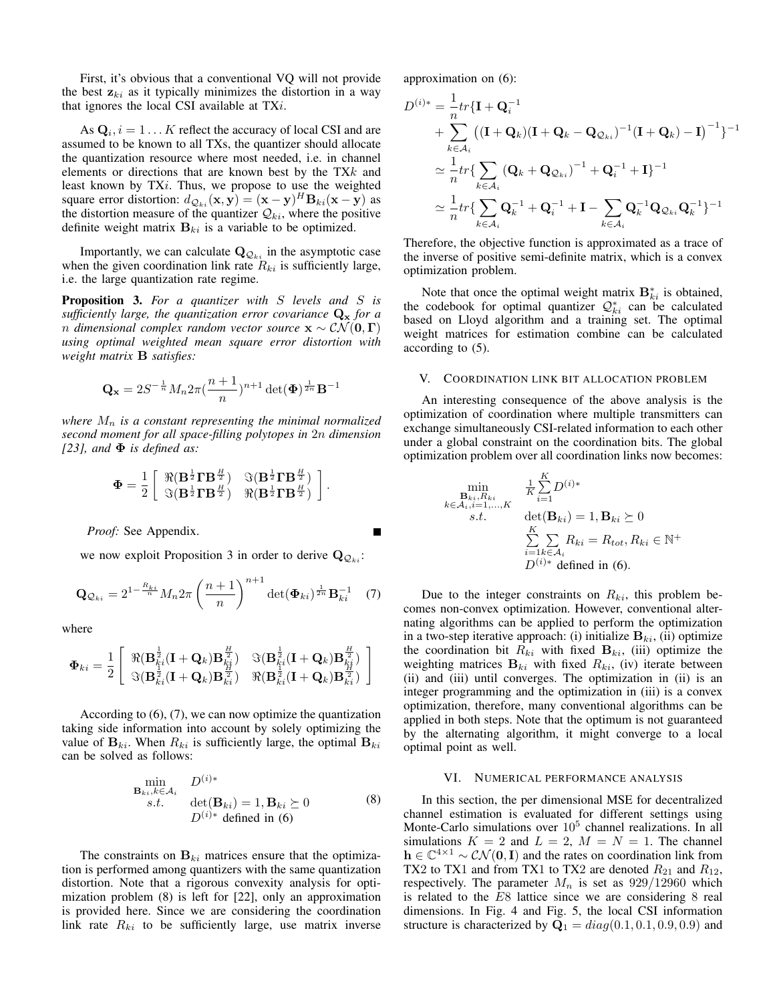First, it's obvious that a conventional VQ will not provide the best  $z_{ki}$  as it typically minimizes the distortion in a way that ignores the local CSI available at  $TXi$ .

As  $\mathbf{Q}_i$ ,  $i = 1 \dots K$  reflect the accuracy of local CSI and are assumed to be known to all TXs, the quantizer should allocate the quantization resource where most needed, i.e. in channel elements or directions that are known best by the TXk and least known by TXi. Thus, we propose to use the weighted square error distortion:  $d_{\mathcal{Q}_{ki}}(\mathbf{x}, \mathbf{y}) = (\mathbf{x} - \mathbf{y})^H \mathbf{B}_{ki}(\mathbf{x} - \mathbf{y})$  as the distortion measure of the quantizer  $\mathcal{Q}_{ki}$ , where the positive definite weight matrix  $B_{ki}$  is a variable to be optimized.

Importantly, we can calculate  $\mathbf{Q}_{\mathcal{Q}_{ki}}$  in the asymptotic case when the given coordination link rate  $R_{ki}$  is sufficiently large, i.e. the large quantization rate regime.

Proposition 3. *For a quantizer with* S *levels and* S *is sufficiently large, the quantization error covariance*  $Q_x$  *for a n* dimensional complex random vector source  $\mathbf{x} \sim \mathcal{CN}(\mathbf{0},\mathbf{\Gamma})$ *using optimal weighted mean square error distortion with weight matrix* B *satisfies:*

$$
\mathbf{Q_x} = 2S^{-\frac{1}{n}}M_n 2\pi (\frac{n+1}{n})^{n+1} \det(\boldsymbol{\Phi})^{\frac{1}{2n}} \mathbf{B}^{-1}
$$

where  $M_n$  *is a constant representing the minimal normalized second moment for all space-filling polytopes in* 2n *dimension [23], and* Φ *is defined as:*

$$
\mathbf{\Phi} = \frac{1}{2} \left[ \begin{array}{cc} \Re(\mathbf{B}^{\frac{1}{2}} \mathbf{\Gamma} \mathbf{B}^{\frac{H}{2}}) & \Im(\mathbf{B}^{\frac{1}{2}} \mathbf{\Gamma} \mathbf{B}^{\frac{H}{2}}) \\ \Im(\mathbf{B}^{\frac{1}{2}} \mathbf{\Gamma} \mathbf{B}^{\frac{H}{2}}) & \Re(\mathbf{B}^{\frac{1}{2}} \mathbf{\Gamma} \mathbf{B}^{\frac{H}{2}}) \end{array} \right].
$$

*Proof:* See Appendix.

we now exploit Proposition 3 in order to derive  $\mathbf{Q}_{\mathcal{Q}_{ki}}$ :

$$
\mathbf{Q}_{\mathcal{Q}_{ki}} = 2^{1 - \frac{R_{ki}}{n}} M_n 2\pi \left(\frac{n+1}{n}\right)^{n+1} \det(\mathbf{\Phi}_{ki})^{\frac{1}{2n}} \mathbf{B}_{ki}^{-1} \quad (7)
$$

where

$$
\Phi_{ki} = \frac{1}{2}\left[\begin{array}{cc} \Re(\textbf{B}_{ki}^{\frac{1}{2}}(\textbf{I} + \textbf{Q}_k)\textbf{B}_{ki}^{\frac{H}{2}}) & \Im(\textbf{B}_{ki}^{\frac{1}{2}}(\textbf{I} + \textbf{Q}_k)\textbf{B}_{ki}^{\frac{H}{2}}) \\ \Im(\textbf{B}_{ki}^{\frac{1}{2}}(\textbf{I} + \textbf{Q}_k)\textbf{B}_{ki}^{\frac{H}{2}}) & \Re(\textbf{B}_{ki}^{\frac{1}{2}}(\textbf{I} + \textbf{Q}_k)\textbf{B}_{ki}^{\frac{H}{2}}) \end{array}\right]
$$

According to (6), (7), we can now optimize the quantization taking side information into account by solely optimizing the value of  $B_{ki}$ . When  $R_{ki}$  is sufficiently large, the optimal  $B_{ki}$ can be solved as follows:

$$
\min_{\substack{\mathbf{B}_{ki},k\in\mathcal{A}_{i}\\S.t.}} D^{(i)*}
$$
\n
$$
\det(\mathbf{B}_{ki}) = 1, \mathbf{B}_{ki} \succeq 0
$$
\n
$$
D^{(i)*}
$$
\n
$$
\text{defined in (6)}
$$
\n(8)

The constraints on  $B_{ki}$  matrices ensure that the optimization is performed among quantizers with the same quantization distortion. Note that a rigorous convexity analysis for optimization problem (8) is left for [22], only an approximation is provided here. Since we are considering the coordination link rate  $R_{ki}$  to be sufficiently large, use matrix inverse approximation on (6):

$$
D^{(i)*} = \frac{1}{n} tr{\mathbf{I} + \mathbf{Q}_i^{-1}}
$$
  
+ 
$$
\sum_{k \in A_i} ((\mathbf{I} + \mathbf{Q}_k)(\mathbf{I} + \mathbf{Q}_k - \mathbf{Q}_{Q_{ki}})^{-1}(\mathbf{I} + \mathbf{Q}_k) - \mathbf{I})^{-1} \}^{-1}
$$
  

$$
\simeq \frac{1}{n} tr{\mathbf{Q}_i \sum_{k \in A_i} (\mathbf{Q}_k + \mathbf{Q}_{Q_{ki}})^{-1} + \mathbf{Q}_i^{-1} + \mathbf{I} \}^{-1}
$$
  

$$
\simeq \frac{1}{n} tr{\mathbf{Q}_k \sum_{k \in A_i} \mathbf{Q}_k^{-1} + \mathbf{Q}_i^{-1} + \mathbf{I} - \sum_{k \in A_i} \mathbf{Q}_k^{-1} \mathbf{Q}_{Q_{ki}} \mathbf{Q}_k^{-1} \}^{-1}
$$

Therefore, the objective function is approximated as a trace of the inverse of positive semi-definite matrix, which is a convex optimization problem.

Note that once the optimal weight matrix  $\mathbf{B}_{ki}^*$  is obtained, the codebook for optimal quantizer  $\mathcal{Q}_{ki}^*$  can be calculated based on Lloyd algorithm and a training set. The optimal weight matrices for estimation combine can be calculated according to (5).

## V. COORDINATION LINK BIT ALLOCATION PROBLEM

An interesting consequence of the above analysis is the optimization of coordination where multiple transmitters can exchange simultaneously CSI-related information to each other under a global constraint on the coordination bits. The global optimization problem over all coordination links now becomes:

$$
\min_{\substack{\mathbf{B}_{ki}, R_{ki}} \\ k \in \mathcal{A}_i, i=1,\dots,K \\ s.t.}} \frac{\frac{1}{K} \sum_{i=1}^{K} D^{(i)*}}{\det(\mathbf{B}_{ki}) = 1, \mathbf{B}_{ki} \succeq 0}
$$
\n
$$
\sum_{i=1}^{K} \sum_{k \in \mathcal{A}_i} R_{ki} = R_{tot}, R_{ki} \in \mathbb{N}^+
$$
\n
$$
D^{(i)*}
$$
 defined in (6).

Due to the integer constraints on  $R_{ki}$ , this problem becomes non-convex optimization. However, conventional alternating algorithms can be applied to perform the optimization in a two-step iterative approach: (i) initialize  $B_{ki}$ , (ii) optimize the coordination bit  $R_{ki}$  with fixed  $B_{ki}$ , (iii) optimize the weighting matrices  $B_{ki}$  with fixed  $R_{ki}$ , (iv) iterate between (ii) and (iii) until converges. The optimization in (ii) is an integer programming and the optimization in (iii) is a convex optimization, therefore, many conventional algorithms can be applied in both steps. Note that the optimum is not guaranteed by the alternating algorithm, it might converge to a local optimal point as well.

## VI. NUMERICAL PERFORMANCE ANALYSIS

In this section, the per dimensional MSE for decentralized channel estimation is evaluated for different settings using Monte-Carlo simulations over  $10<sup>5</sup>$  channel realizations. In all simulations  $K = 2$  and  $L = 2$ ,  $M = N = 1$ . The channel  $h \in \mathbb{C}^{4 \times 1} \sim \mathcal{CN}(\mathbf{0}, \mathbf{I})$  and the rates on coordination link from TX2 to TX1 and from TX1 to TX2 are denoted  $R_{21}$  and  $R_{12}$ , respectively. The parameter  $M_n$  is set as  $929/12960$  which is related to the E8 lattice since we are considering 8 real dimensions. In Fig. 4 and Fig. 5, the local CSI information structure is characterized by  $\mathbf{Q}_1 = diag(0.1, 0.1, 0.9, 0.9)$  and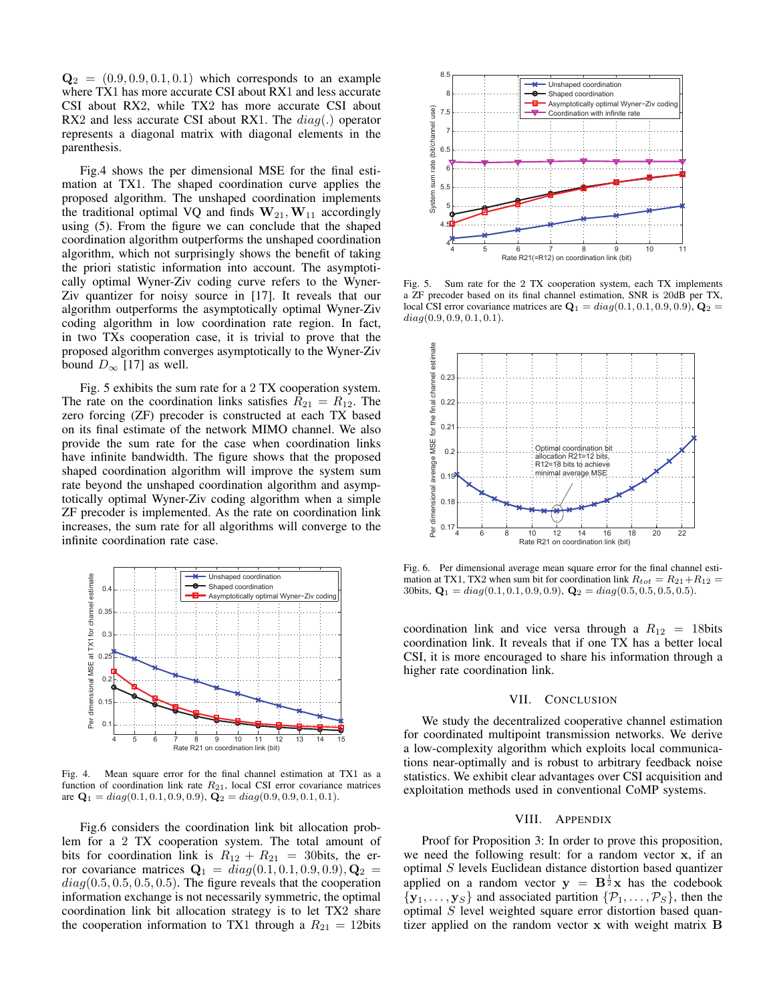$\mathbf{Q}_2 = (0.9, 0.9, 0.1, 0.1)$  which corresponds to an example where TX1 has more accurate CSI about RX1 and less accurate CSI about RX2, while TX2 has more accurate CSI about RX2 and less accurate CSI about RX1. The  $diag(.)$  operator represents a diagonal matrix with diagonal elements in the parenthesis.

Fig.4 shows the per dimensional MSE for the final estimation at TX1. The shaped coordination curve applies the proposed algorithm. The unshaped coordination implements the traditional optimal VQ and finds  $W_{21}, W_{11}$  accordingly using (5). From the figure we can conclude that the shaped coordination algorithm outperforms the unshaped coordination algorithm, which not surprisingly shows the benefit of taking the priori statistic information into account. The asymptotically optimal Wyner-Ziv coding curve refers to the Wyner-Ziv quantizer for noisy source in [17]. It reveals that our algorithm outperforms the asymptotically optimal Wyner-Ziv coding algorithm in low coordination rate region. In fact, in two TXs cooperation case, it is trivial to prove that the proposed algorithm converges asymptotically to the Wyner-Ziv bound  $D_{\infty}$  [17] as well.

Fig. 5 exhibits the sum rate for a 2 TX cooperation system. The rate on the coordination links satisfies  $R_{21} = R_{12}$ . The zero forcing (ZF) precoder is constructed at each TX based on its final estimate of the network MIMO channel. We also provide the sum rate for the case when coordination links have infinite bandwidth. The figure shows that the proposed shaped coordination algorithm will improve the system sum rate beyond the unshaped coordination algorithm and asymptotically optimal Wyner-Ziv coding algorithm when a simple ZF precoder is implemented. As the rate on coordination link increases, the sum rate for all algorithms will converge to the infinite coordination rate case.



Fig. 4. Mean square error for the final channel estimation at TX1 as a function of coordination link rate  $R_{21}$ , local CSI error covariance matrices are  $\mathbf{Q}_1 = diag(0.1, 0.1, 0.9, 0.9), \mathbf{Q}_2 = diag(0.9, 0.9, 0.1, 0.1).$ 

Fig.6 considers the coordination link bit allocation problem for a 2 TX cooperation system. The total amount of bits for coordination link is  $R_{12} + R_{21} = 30$ bits, the error covariance matrices  $Q_1 = diag(0.1, 0.1, 0.9, 0.9), Q_2 =$  $diag(0.5, 0.5, 0.5, 0.5)$ . The figure reveals that the cooperation information exchange is not necessarily symmetric, the optimal coordination link bit allocation strategy is to let TX2 share the cooperation information to TX1 through a  $R_{21} = 12$ bits



Fig. 5. Sum rate for the 2 TX cooperation system, each TX implements a ZF precoder based on its final channel estimation, SNR is 20dB per TX, local CSI error covariance matrices are  $\mathbf{Q}_1 = diag(0.1, 0.1, 0.9, 0.9), \mathbf{Q}_2 =$  $diag(0.9, 0.9, 0.1, 0.1).$ 



Fig. 6. Per dimensional average mean square error for the final channel estimation at TX1, TX2 when sum bit for coordination link  $R_{tot} = R_{21} + R_{12} =$ 30bits,  $\mathbf{Q}_1 = diag(0.1, 0.1, 0.9, 0.9), \mathbf{Q}_2 = diag(0.5, 0.5, 0.5, 0.5).$ 

coordination link and vice versa through a  $R_{12} = 18$ bits coordination link. It reveals that if one TX has a better local CSI, it is more encouraged to share his information through a higher rate coordination link.

### VII. CONCLUSION

We study the decentralized cooperative channel estimation for coordinated multipoint transmission networks. We derive a low-complexity algorithm which exploits local communications near-optimally and is robust to arbitrary feedback noise statistics. We exhibit clear advantages over CSI acquisition and exploitation methods used in conventional CoMP systems.

### VIII. APPENDIX

Proof for Proposition 3: In order to prove this proposition, we need the following result: for a random vector x, if an optimal S levels Euclidean distance distortion based quantizer applied on a random vector  $y = B^{\frac{1}{2}}x$  has the codebook  $\{y_1, \ldots, y_S\}$  and associated partition  $\{\mathcal{P}_1, \ldots, \mathcal{P}_S\}$ , then the optimal S level weighted square error distortion based quantizer applied on the random vector x with weight matrix B